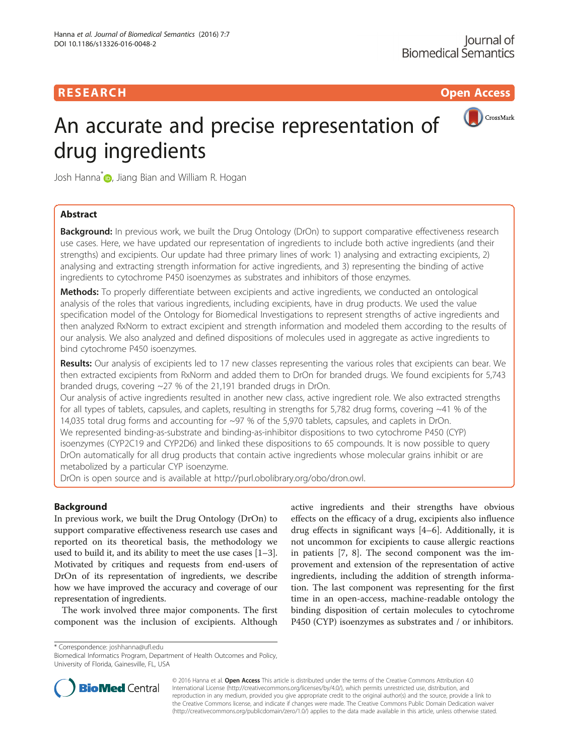

# An accurate and precise representation of drug ingredients

Josh Hanna<sup>[\\*](http://orcid.org/0000-0002-4600-1258)</sup> **D**, Jiang Bian and William R. Hogan

# Abstract

**Background:** In previous work, we built the Drug Ontology (DrOn) to support comparative effectiveness research use cases. Here, we have updated our representation of ingredients to include both active ingredients (and their strengths) and excipients. Our update had three primary lines of work: 1) analysing and extracting excipients, 2) analysing and extracting strength information for active ingredients, and 3) representing the binding of active ingredients to cytochrome P450 isoenzymes as substrates and inhibitors of those enzymes.

Methods: To properly differentiate between excipients and active ingredients, we conducted an ontological analysis of the roles that various ingredients, including excipients, have in drug products. We used the value specification model of the Ontology for Biomedical Investigations to represent strengths of active ingredients and then analyzed RxNorm to extract excipient and strength information and modeled them according to the results of our analysis. We also analyzed and defined dispositions of molecules used in aggregate as active ingredients to bind cytochrome P450 isoenzymes.

Results: Our analysis of excipients led to 17 new classes representing the various roles that excipients can bear. We then extracted excipients from RxNorm and added them to DrOn for branded drugs. We found excipients for 5,743 branded drugs, covering ~27 % of the 21,191 branded drugs in DrOn.

Our analysis of active ingredients resulted in another new class, active ingredient role. We also extracted strengths for all types of tablets, capsules, and caplets, resulting in strengths for 5,782 drug forms, covering ~41 % of the 14,035 total drug forms and accounting for ~97 % of the 5,970 tablets, capsules, and caplets in DrOn. We represented binding-as-substrate and binding-as-inhibitor dispositions to two cytochrome P450 (CYP) isoenzymes (CYP2C19 and CYP2D6) and linked these dispositions to 65 compounds. It is now possible to query DrOn automatically for all drug products that contain active ingredients whose molecular grains inhibit or are metabolized by a particular CYP isoenzyme.

DrOn is open source and is available at [http://purl.obolibrary.org/obo/dron.owl.](http://purl.obolibrary.org/obo/dron.owl)

# Background

In previous work, we built the Drug Ontology (DrOn) to support comparative effectiveness research use cases and reported on its theoretical basis, the methodology we used to build it, and its ability to meet the use cases [[1](#page--1-0)–[3](#page--1-0)]. Motivated by critiques and requests from end-users of DrOn of its representation of ingredients, we describe how we have improved the accuracy and coverage of our representation of ingredients.

The work involved three major components. The first component was the inclusion of excipients. Although active ingredients and their strengths have obvious effects on the efficacy of a drug, excipients also influence drug effects in significant ways [[4](#page--1-0)–[6](#page--1-0)]. Additionally, it is not uncommon for excipients to cause allergic reactions in patients [[7, 8](#page--1-0)]. The second component was the improvement and extension of the representation of active ingredients, including the addition of strength information. The last component was representing for the first time in an open-access, machine-readable ontology the binding disposition of certain molecules to cytochrome P450 (CYP) isoenzymes as substrates and / or inhibitors.

\* Correspondence: [joshhanna@ufl.edu](mailto:joshhanna@ufl.edu)

Biomedical Informatics Program, Department of Health Outcomes and Policy, University of Florida, Gainesville, FL, USA



© 2016 Hanna et al. Open Access This article is distributed under the terms of the Creative Commons Attribution 4.0 International License [\(http://creativecommons.org/licenses/by/4.0/](http://creativecommons.org/licenses/by/4.0/)), which permits unrestricted use, distribution, and reproduction in any medium, provided you give appropriate credit to the original author(s) and the source, provide a link to the Creative Commons license, and indicate if changes were made. The Creative Commons Public Domain Dedication waiver [\(http://creativecommons.org/publicdomain/zero/1.0/](http://creativecommons.org/publicdomain/zero/1.0/)) applies to the data made available in this article, unless otherwise stated.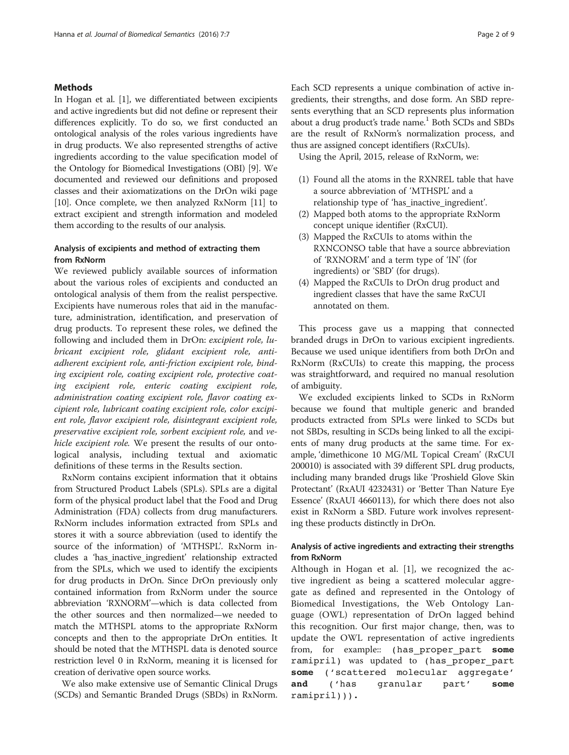# Methods

In Hogan et al. [\[1](#page--1-0)], we differentiated between excipients and active ingredients but did not define or represent their differences explicitly. To do so, we first conducted an ontological analysis of the roles various ingredients have in drug products. We also represented strengths of active ingredients according to the value specification model of the Ontology for Biomedical Investigations (OBI) [\[9\]](#page--1-0). We documented and reviewed our definitions and proposed classes and their axiomatizations on the DrOn wiki page [[10](#page--1-0)]. Once complete, we then analyzed RxNorm [\[11](#page--1-0)] to extract excipient and strength information and modeled them according to the results of our analysis.

# Analysis of excipients and method of extracting them from RxNorm

We reviewed publicly available sources of information about the various roles of excipients and conducted an ontological analysis of them from the realist perspective. Excipients have numerous roles that aid in the manufacture, administration, identification, and preservation of drug products. To represent these roles, we defined the following and included them in DrOn: excipient role, lubricant excipient role, glidant excipient role, antiadherent excipient role, anti-friction excipient role, binding excipient role, coating excipient role, protective coating excipient role, enteric coating excipient role, administration coating excipient role, flavor coating excipient role, lubricant coating excipient role, color excipient role, flavor excipient role, disintegrant excipient role, preservative excipient role, sorbent excipient role, and vehicle excipient role. We present the results of our ontological analysis, including textual and axiomatic definitions of these terms in the Results section.

RxNorm contains excipient information that it obtains from Structured Product Labels (SPLs). SPLs are a digital form of the physical product label that the Food and Drug Administration (FDA) collects from drug manufacturers. RxNorm includes information extracted from SPLs and stores it with a source abbreviation (used to identify the source of the information) of 'MTHSPL'. RxNorm includes a 'has\_inactive\_ingredient' relationship extracted from the SPLs, which we used to identify the excipients for drug products in DrOn. Since DrOn previously only contained information from RxNorm under the source abbreviation 'RXNORM'—which is data collected from the other sources and then normalized—we needed to match the MTHSPL atoms to the appropriate RxNorm concepts and then to the appropriate DrOn entities. It should be noted that the MTHSPL data is denoted source restriction level 0 in RxNorm, meaning it is licensed for creation of derivative open source works.

We also make extensive use of Semantic Clinical Drugs (SCDs) and Semantic Branded Drugs (SBDs) in RxNorm. Each SCD represents a unique combination of active ingredients, their strengths, and dose form. An SBD represents everything that an SCD represents plus information about a drug product's trade name. $<sup>1</sup>$  Both SCDs and SBDs</sup> are the result of RxNorm's normalization process, and thus are assigned concept identifiers (RxCUIs).

Using the April, 2015, release of RxNorm, we:

- (1) Found all the atoms in the RXNREL table that have a source abbreviation of 'MTHSPL' and a relationship type of 'has\_inactive\_ingredient'.
- (2) Mapped both atoms to the appropriate RxNorm concept unique identifier (RxCUI).
- (3) Mapped the RxCUIs to atoms within the RXNCONSO table that have a source abbreviation of 'RXNORM' and a term type of 'IN' (for ingredients) or 'SBD' (for drugs).
- (4) Mapped the RxCUIs to DrOn drug product and ingredient classes that have the same RxCUI annotated on them.

This process gave us a mapping that connected branded drugs in DrOn to various excipient ingredients. Because we used unique identifiers from both DrOn and RxNorm (RxCUIs) to create this mapping, the process was straightforward, and required no manual resolution of ambiguity.

We excluded excipients linked to SCDs in RxNorm because we found that multiple generic and branded products extracted from SPLs were linked to SCDs but not SBDs, resulting in SCDs being linked to all the excipients of many drug products at the same time. For example, 'dimethicone 10 MG/ML Topical Cream' (RxCUI 200010) is associated with 39 different SPL drug products, including many branded drugs like 'Proshield Glove Skin Protectant' (RxAUI 4232431) or 'Better Than Nature Eye Essence' (RxAUI 4660113), for which there does not also exist in RxNorm a SBD. Future work involves representing these products distinctly in DrOn.

# Analysis of active ingredients and extracting their strengths from RxNorm

Although in Hogan et al. [[1\]](#page--1-0), we recognized the active ingredient as being a scattered molecular aggregate as defined and represented in the Ontology of Biomedical Investigations, the Web Ontology Language (OWL) representation of DrOn lagged behind this recognition. Our first major change, then, was to update the OWL representation of active ingredients from, for example:: (has\_proper\_part some ramipril) was updated to (has\_proper\_part some ('scattered molecular aggregate' and ('has granular part' some ramipril))).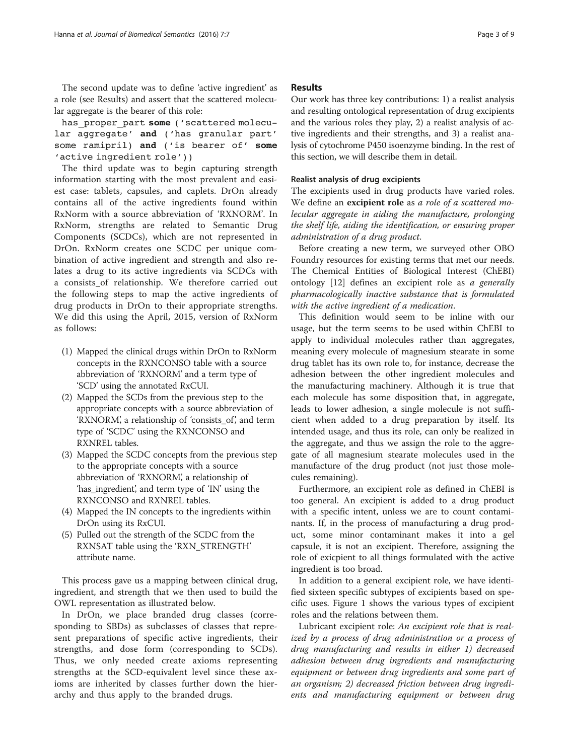The second update was to define 'active ingredient' as a role (see Results) and assert that the scattered molecular aggregate is the bearer of this role:

has proper part some ('scattered molecular aggregate' and ('has granular part' some ramipril) and ('is bearer of' some 'active ingredient role'))

The third update was to begin capturing strength information starting with the most prevalent and easiest case: tablets, capsules, and caplets. DrOn already contains all of the active ingredients found within RxNorm with a source abbreviation of 'RXNORM'. In RxNorm, strengths are related to Semantic Drug Components (SCDCs), which are not represented in DrOn. RxNorm creates one SCDC per unique combination of active ingredient and strength and also relates a drug to its active ingredients via SCDCs with a consists\_of relationship. We therefore carried out the following steps to map the active ingredients of drug products in DrOn to their appropriate strengths. We did this using the April, 2015, version of RxNorm as follows:

- (1) Mapped the clinical drugs within DrOn to RxNorm concepts in the RXNCONSO table with a source abbreviation of 'RXNORM' and a term type of 'SCD' using the annotated RxCUI.
- (2) Mapped the SCDs from the previous step to the appropriate concepts with a source abbreviation of 'RXNORM', a relationship of 'consists\_of', and term type of 'SCDC' using the RXNCONSO and RXNREL tables.
- (3) Mapped the SCDC concepts from the previous step to the appropriate concepts with a source abbreviation of 'RXNORM', a relationship of 'has\_ingredient', and term type of 'IN' using the RXNCONSO and RXNREL tables.
- (4) Mapped the IN concepts to the ingredients within DrOn using its RxCUI.
- (5) Pulled out the strength of the SCDC from the RXNSAT table using the 'RXN\_STRENGTH' attribute name.

This process gave us a mapping between clinical drug, ingredient, and strength that we then used to build the OWL representation as illustrated below.

In DrOn, we place branded drug classes (corresponding to SBDs) as subclasses of classes that represent preparations of specific active ingredients, their strengths, and dose form (corresponding to SCDs). Thus, we only needed create axioms representing strengths at the SCD-equivalent level since these axioms are inherited by classes further down the hierarchy and thus apply to the branded drugs.

## Results

Our work has three key contributions: 1) a realist analysis and resulting ontological representation of drug excipients and the various roles they play, 2) a realist analysis of active ingredients and their strengths, and 3) a realist analysis of cytochrome P450 isoenzyme binding. In the rest of this section, we will describe them in detail.

### Realist analysis of drug excipients

The excipients used in drug products have varied roles. We define an excipient role as a role of a scattered molecular aggregate in aiding the manufacture, prolonging the shelf life, aiding the identification, or ensuring proper administration of a drug product.

Before creating a new term, we surveyed other OBO Foundry resources for existing terms that met our needs. The Chemical Entities of Biological Interest (ChEBI) ontology [[12](#page--1-0)] defines an excipient role as a generally pharmacologically inactive substance that is formulated with the active ingredient of a medication.

This definition would seem to be inline with our usage, but the term seems to be used within ChEBI to apply to individual molecules rather than aggregates, meaning every molecule of magnesium stearate in some drug tablet has its own role to, for instance, decrease the adhesion between the other ingredient molecules and the manufacturing machinery. Although it is true that each molecule has some disposition that, in aggregate, leads to lower adhesion, a single molecule is not sufficient when added to a drug preparation by itself. Its intended usage, and thus its role, can only be realized in the aggregate, and thus we assign the role to the aggregate of all magnesium stearate molecules used in the manufacture of the drug product (not just those molecules remaining).

Furthermore, an excipient role as defined in ChEBI is too general. An excipient is added to a drug product with a specific intent, unless we are to count contaminants. If, in the process of manufacturing a drug product, some minor contaminant makes it into a gel capsule, it is not an excipient. Therefore, assigning the role of exicpient to all things formulated with the active ingredient is too broad.

In addition to a general excipient role, we have identified sixteen specific subtypes of excipients based on specific uses. Figure [1](#page-3-0) shows the various types of excipient roles and the relations between them.

Lubricant excipient role: An excipient role that is realized by a process of drug administration or a process of drug manufacturing and results in either 1) decreased adhesion between drug ingredients and manufacturing equipment or between drug ingredients and some part of an organism; 2) decreased friction between drug ingredients and manufacturing equipment or between drug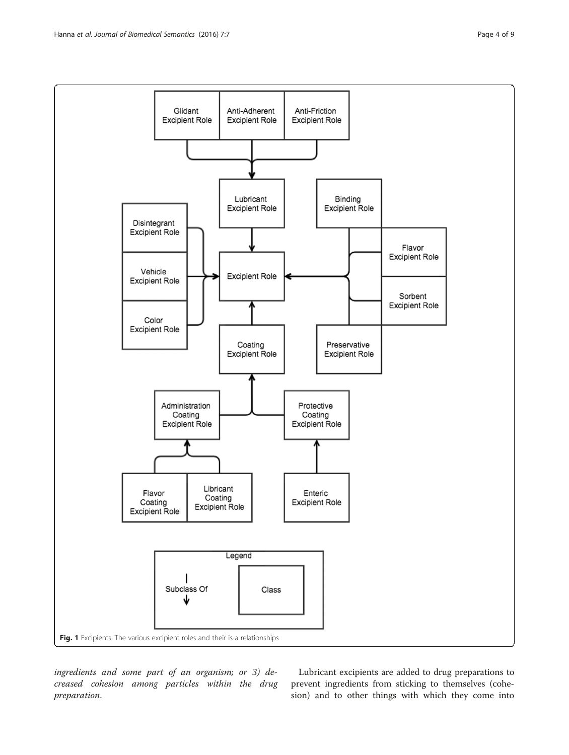<span id="page-3-0"></span>

ingredients and some part of an organism; or 3) decreased cohesion among particles within the drug preparation.

Lubricant excipients are added to drug preparations to prevent ingredients from sticking to themselves (cohesion) and to other things with which they come into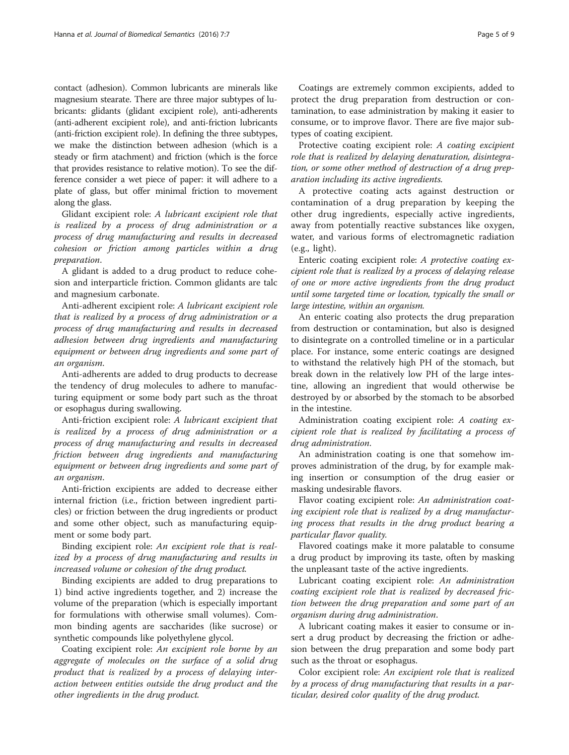contact (adhesion). Common lubricants are minerals like magnesium stearate. There are three major subtypes of lubricants: glidants (glidant excipient role), anti-adherents (anti-adherent excipient role), and anti-friction lubricants (anti-friction excipient role). In defining the three subtypes, we make the distinction between adhesion (which is a steady or firm atachment) and friction (which is the force that provides resistance to relative motion). To see the difference consider a wet piece of paper: it will adhere to a plate of glass, but offer minimal friction to movement along the glass.

Glidant excipient role: A lubricant excipient role that is realized by a process of drug administration or a process of drug manufacturing and results in decreased cohesion or friction among particles within a drug preparation.

A glidant is added to a drug product to reduce cohesion and interparticle friction. Common glidants are talc and magnesium carbonate.

Anti-adherent excipient role: A lubricant excipient role that is realized by a process of drug administration or a process of drug manufacturing and results in decreased adhesion between drug ingredients and manufacturing equipment or between drug ingredients and some part of an organism.

Anti-adherents are added to drug products to decrease the tendency of drug molecules to adhere to manufacturing equipment or some body part such as the throat or esophagus during swallowing.

Anti-friction excipient role: A lubricant excipient that is realized by a process of drug administration or a process of drug manufacturing and results in decreased friction between drug ingredients and manufacturing equipment or between drug ingredients and some part of an organism.

Anti-friction excipients are added to decrease either internal friction (i.e., friction between ingredient particles) or friction between the drug ingredients or product and some other object, such as manufacturing equipment or some body part.

Binding excipient role: An excipient role that is realized by a process of drug manufacturing and results in increased volume or cohesion of the drug product.

Binding excipients are added to drug preparations to 1) bind active ingredients together, and 2) increase the volume of the preparation (which is especially important for formulations with otherwise small volumes). Common binding agents are saccharides (like sucrose) or synthetic compounds like polyethylene glycol.

Coating excipient role: An excipient role borne by an aggregate of molecules on the surface of a solid drug product that is realized by a process of delaying interaction between entities outside the drug product and the other ingredients in the drug product.

Coatings are extremely common excipients, added to protect the drug preparation from destruction or contamination, to ease administration by making it easier to consume, or to improve flavor. There are five major subtypes of coating excipient.

Protective coating excipient role: A coating excipient role that is realized by delaying denaturation, disintegration, or some other method of destruction of a drug preparation including its active ingredients.

A protective coating acts against destruction or contamination of a drug preparation by keeping the other drug ingredients, especially active ingredients, away from potentially reactive substances like oxygen, water, and various forms of electromagnetic radiation (e.g., light).

Enteric coating excipient role: A protective coating excipient role that is realized by a process of delaying release of one or more active ingredients from the drug product until some targeted time or location, typically the small or large intestine, within an organism.

An enteric coating also protects the drug preparation from destruction or contamination, but also is designed to disintegrate on a controlled timeline or in a particular place. For instance, some enteric coatings are designed to withstand the relatively high PH of the stomach, but break down in the relatively low PH of the large intestine, allowing an ingredient that would otherwise be destroyed by or absorbed by the stomach to be absorbed in the intestine.

Administration coating excipient role: A coating excipient role that is realized by facilitating a process of drug administration.

An administration coating is one that somehow improves administration of the drug, by for example making insertion or consumption of the drug easier or masking undesirable flavors.

Flavor coating excipient role: An administration coating excipient role that is realized by a drug manufacturing process that results in the drug product bearing a particular flavor quality.

Flavored coatings make it more palatable to consume a drug product by improving its taste, often by masking the unpleasant taste of the active ingredients.

Lubricant coating excipient role: An administration coating excipient role that is realized by decreased friction between the drug preparation and some part of an organism during drug administration.

A lubricant coating makes it easier to consume or insert a drug product by decreasing the friction or adhesion between the drug preparation and some body part such as the throat or esophagus.

Color excipient role: An excipient role that is realized by a process of drug manufacturing that results in a particular, desired color quality of the drug product.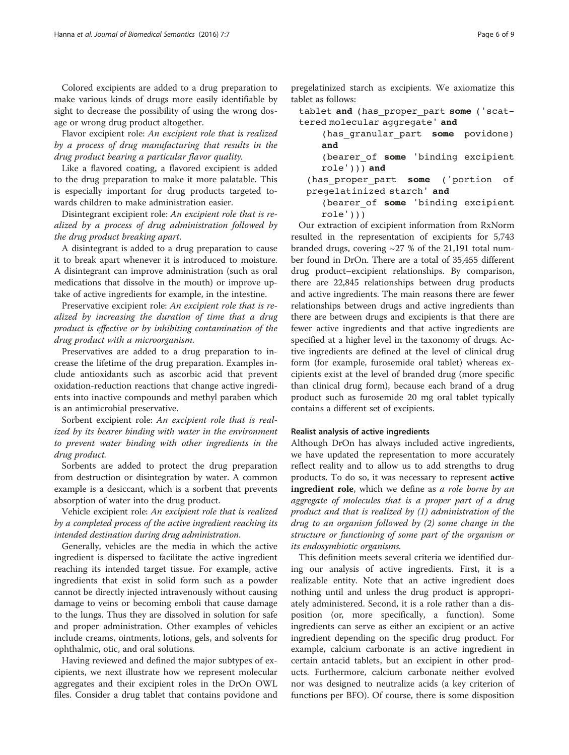Colored excipients are added to a drug preparation to make various kinds of drugs more easily identifiable by sight to decrease the possibility of using the wrong dosage or wrong drug product altogether.

Flavor excipient role: An excipient role that is realized by a process of drug manufacturing that results in the drug product bearing a particular flavor quality.

Like a flavored coating, a flavored excipient is added to the drug preparation to make it more palatable. This is especially important for drug products targeted towards children to make administration easier.

Disintegrant excipient role: An excipient role that is realized by a process of drug administration followed by the drug product breaking apart.

A disintegrant is added to a drug preparation to cause it to break apart whenever it is introduced to moisture. A disintegrant can improve administration (such as oral medications that dissolve in the mouth) or improve uptake of active ingredients for example, in the intestine.

Preservative excipient role: An excipient role that is realized by increasing the duration of time that a drug product is effective or by inhibiting contamination of the drug product with a microorganism.

Preservatives are added to a drug preparation to increase the lifetime of the drug preparation. Examples include antioxidants such as ascorbic acid that prevent oxidation-reduction reactions that change active ingredients into inactive compounds and methyl paraben which is an antimicrobial preservative.

Sorbent excipient role: An excipient role that is realized by its bearer binding with water in the environment to prevent water binding with other ingredients in the drug product.

Sorbents are added to protect the drug preparation from destruction or disintegration by water. A common example is a desiccant, which is a sorbent that prevents absorption of water into the drug product.

Vehicle excipient role: An excipient role that is realized by a completed process of the active ingredient reaching its intended destination during drug administration.

Generally, vehicles are the media in which the active ingredient is dispersed to facilitate the active ingredient reaching its intended target tissue. For example, active ingredients that exist in solid form such as a powder cannot be directly injected intravenously without causing damage to veins or becoming emboli that cause damage to the lungs. Thus they are dissolved in solution for safe and proper administration. Other examples of vehicles include creams, ointments, lotions, gels, and solvents for ophthalmic, otic, and oral solutions.

Having reviewed and defined the major subtypes of excipients, we next illustrate how we represent molecular aggregates and their excipient roles in the DrOn OWL files. Consider a drug tablet that contains povidone and

pregelatinized starch as excipients. We axiomatize this tablet as follows:

tablet and (has proper part some ('scattered molecular aggregate' and

(has\_granular\_part some povidone) and

(bearer of some 'binding excipient role'))) and

(has proper part some ('portion of pregelatinized starch' and

(bearer\_of some 'binding excipient role')))

Our extraction of excipient information from RxNorm resulted in the representation of excipients for 5,743 branded drugs, covering  $\sim$ 27 % of the 21,191 total number found in DrOn. There are a total of 35,455 different drug product–excipient relationships. By comparison, there are 22,845 relationships between drug products and active ingredients. The main reasons there are fewer relationships between drugs and active ingredients than there are between drugs and excipients is that there are fewer active ingredients and that active ingredients are specified at a higher level in the taxonomy of drugs. Active ingredients are defined at the level of clinical drug form (for example, furosemide oral tablet) whereas excipients exist at the level of branded drug (more specific than clinical drug form), because each brand of a drug product such as furosemide 20 mg oral tablet typically contains a different set of excipients.

# Realist analysis of active ingredients

Although DrOn has always included active ingredients, we have updated the representation to more accurately reflect reality and to allow us to add strengths to drug products. To do so, it was necessary to represent active ingredient role, which we define as a role borne by an aggregate of molecules that is a proper part of a drug product and that is realized by (1) administration of the drug to an organism followed by (2) some change in the structure or functioning of some part of the organism or its endosymbiotic organisms.

This definition meets several criteria we identified during our analysis of active ingredients. First, it is a realizable entity. Note that an active ingredient does nothing until and unless the drug product is appropriately administered. Second, it is a role rather than a disposition (or, more specifically, a function). Some ingredients can serve as either an excipient or an active ingredient depending on the specific drug product. For example, calcium carbonate is an active ingredient in certain antacid tablets, but an excipient in other products. Furthermore, calcium carbonate neither evolved nor was designed to neutralize acids (a key criterion of functions per BFO). Of course, there is some disposition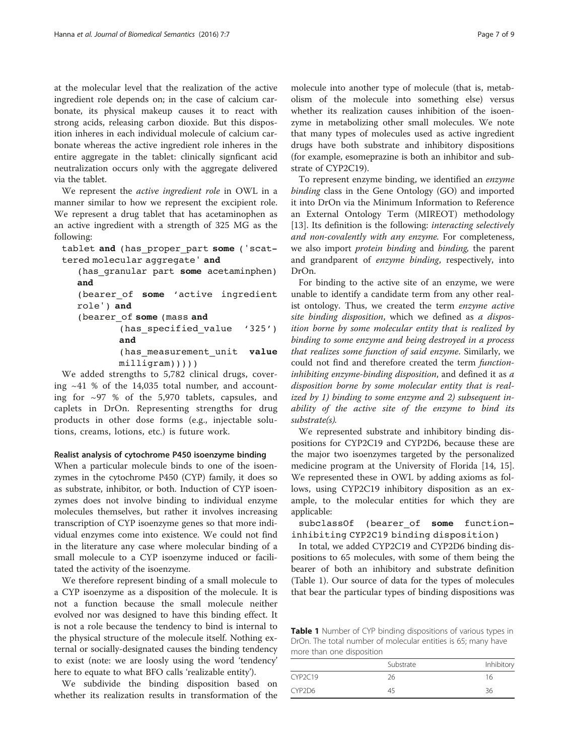at the molecular level that the realization of the active ingredient role depends on; in the case of calcium carbonate, its physical makeup causes it to react with strong acids, releasing carbon dioxide. But this disposition inheres in each individual molecule of calcium carbonate whereas the active ingredient role inheres in the entire aggregate in the tablet: clinically signficant acid neutralization occurs only with the aggregate delivered via the tablet.

We represent the *active ingredient role* in OWL in a manner similar to how we represent the excipient role. We represent a drug tablet that has acetaminophen as an active ingredient with a strength of 325 MG as the following:

tablet and (has proper part some ('scattered molecular aggregate' and

(has granular part some acetaminphen) and

(bearer of some 'active ingredient role') and

```
(bearer of some (mass and
```
(has specified value '325') and

(has measurement unit value milligram)))))

We added strengths to 5,782 clinical drugs, covering  $~41$  % of the 14,035 total number, and accounting for ~97 % of the 5,970 tablets, capsules, and caplets in DrOn. Representing strengths for drug products in other dose forms (e.g., injectable solutions, creams, lotions, etc.) is future work.

# Realist analysis of cytochrome P450 isoenzyme binding

When a particular molecule binds to one of the isoenzymes in the cytochrome P450 (CYP) family, it does so as substrate, inhibitor, or both. Induction of CYP isoenzymes does not involve binding to individual enzyme molecules themselves, but rather it involves increasing transcription of CYP isoenzyme genes so that more individual enzymes come into existence. We could not find in the literature any case where molecular binding of a small molecule to a CYP isoenzyme induced or facilitated the activity of the isoenzyme.

We therefore represent binding of a small molecule to a CYP isoenzyme as a disposition of the molecule. It is not a function because the small molecule neither evolved nor was designed to have this binding effect. It is not a role because the tendency to bind is internal to the physical structure of the molecule itself. Nothing external or socially-designated causes the binding tendency to exist (note: we are loosly using the word 'tendency' here to equate to what BFO calls 'realizable entity').

We subdivide the binding disposition based on whether its realization results in transformation of the molecule into another type of molecule (that is, metabolism of the molecule into something else) versus whether its realization causes inhibition of the isoenzyme in metabolizing other small molecules. We note that many types of molecules used as active ingredient drugs have both substrate and inhibitory dispositions (for example, esomeprazine is both an inhibitor and substrate of CYP2C19).

To represent enzyme binding, we identified an enzyme binding class in the Gene Ontology (GO) and imported it into DrOn via the Minimum Information to Reference an External Ontology Term (MIREOT) methodology [[13\]](#page--1-0). Its definition is the following: *interacting selectively* and non-covalently with any enzyme. For completeness, we also import protein binding and binding, the parent and grandparent of enzyme binding, respectively, into DrOn.

For binding to the active site of an enzyme, we were unable to identify a candidate term from any other realist ontology. Thus, we created the term enzyme active site binding disposition, which we defined as a disposition borne by some molecular entity that is realized by binding to some enzyme and being destroyed in a process that realizes some function of said enzyme. Similarly, we could not find and therefore created the term functioninhibiting enzyme-binding disposition, and defined it as a disposition borne by some molecular entity that is realized by 1) binding to some enzyme and 2) subsequent inability of the active site of the enzyme to bind its substrate(s).

We represented substrate and inhibitory binding dispositions for CYP2C19 and CYP2D6, because these are the major two isoenzymes targeted by the personalized medicine program at the University of Florida [\[14](#page--1-0), [15](#page--1-0)]. We represented these in OWL by adding axioms as follows, using CYP2C19 inhibitory disposition as an example, to the molecular entities for which they are applicable:

subclassOf (bearer of some functioninhibiting CYP2C19 binding disposition)

In total, we added CYP2C19 and CYP2D6 binding dispositions to 65 molecules, with some of them being the bearer of both an inhibitory and substrate definition (Table 1). Our source of data for the types of molecules that bear the particular types of binding dispositions was

**Table 1** Number of CYP binding dispositions of various types in DrOn. The total number of molecular entities is 65; many have more than one disposition

|         | Substrate | Inhibitory |
|---------|-----------|------------|
| CYP2C19 | 26        | 16         |
| CYP2D6  | 45        | 36         |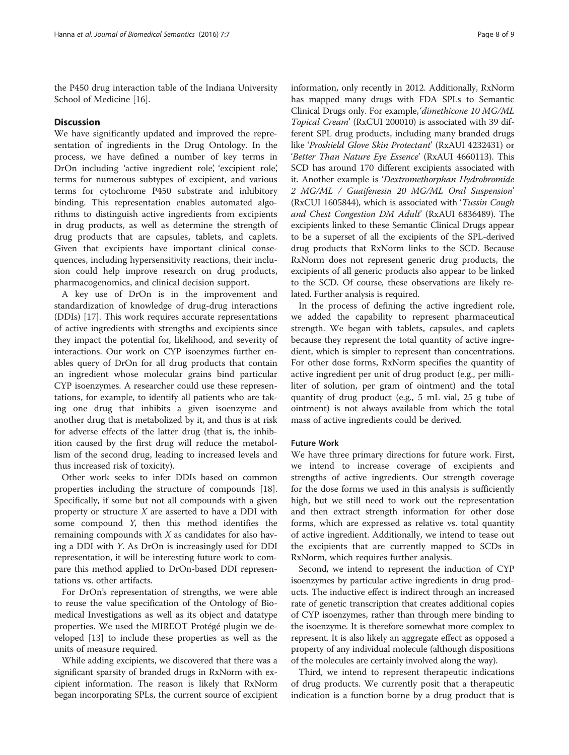the P450 drug interaction table of the Indiana University School of Medicine [\[16](#page--1-0)].

### **Discussion**

We have significantly updated and improved the representation of ingredients in the Drug Ontology. In the process, we have defined a number of key terms in DrOn including 'active ingredient role', 'excipient role', terms for numerous subtypes of excipient, and various terms for cytochrome P450 substrate and inhibitory binding. This representation enables automated algorithms to distinguish active ingredients from excipients in drug products, as well as determine the strength of drug products that are capsules, tablets, and caplets. Given that excipients have important clinical consequences, including hypersensitivity reactions, their inclusion could help improve research on drug products, pharmacogenomics, and clinical decision support.

A key use of DrOn is in the improvement and standardization of knowledge of drug-drug interactions (DDIs) [[17\]](#page--1-0). This work requires accurate representations of active ingredients with strengths and excipients since they impact the potential for, likelihood, and severity of interactions. Our work on CYP isoenzymes further enables query of DrOn for all drug products that contain an ingredient whose molecular grains bind particular CYP isoenzymes. A researcher could use these representations, for example, to identify all patients who are taking one drug that inhibits a given isoenzyme and another drug that is metabolized by it, and thus is at risk for adverse effects of the latter drug (that is, the inhibition caused by the first drug will reduce the metabollism of the second drug, leading to increased levels and thus increased risk of toxicity).

Other work seeks to infer DDIs based on common properties including the structure of compounds [\[18](#page--1-0)]. Specifically, if some but not all compounds with a given property or structure  $X$  are asserted to have a DDI with some compound Y, then this method identifies the remaining compounds with  $X$  as candidates for also having a DDI with Y. As DrOn is increasingly used for DDI representation, it will be interesting future work to compare this method applied to DrOn-based DDI representations vs. other artifacts.

For DrOn's representation of strengths, we were able to reuse the value specification of the Ontology of Biomedical Investigations as well as its object and datatype properties. We used the MIREOT Protégé plugin we developed [[13\]](#page--1-0) to include these properties as well as the units of measure required.

While adding excipients, we discovered that there was a significant sparsity of branded drugs in RxNorm with excipient information. The reason is likely that RxNorm began incorporating SPLs, the current source of excipient

information, only recently in 2012. Additionally, RxNorm has mapped many drugs with FDA SPLs to Semantic Clinical Drugs only. For example, 'dimethicone 10 MG/ML Topical Cream' (RxCUI 200010) is associated with 39 different SPL drug products, including many branded drugs like 'Proshield Glove Skin Protectant' (RxAUI 4232431) or 'Better Than Nature Eye Essence' (RxAUI 4660113). This SCD has around 170 different excipients associated with it. Another example is 'Dextromethorphan Hydrobromide 2 MG/ML / Guaifenesin 20 MG/ML Oral Suspension' (RxCUI 1605844), which is associated with 'Tussin Cough and Chest Congestion DM Adult' (RxAUI 6836489). The excipients linked to these Semantic Clinical Drugs appear to be a superset of all the excipients of the SPL-derived drug products that RxNorm links to the SCD. Because RxNorm does not represent generic drug products, the excipients of all generic products also appear to be linked to the SCD. Of course, these observations are likely related. Further analysis is required.

In the process of defining the active ingredient role, we added the capability to represent pharmaceutical strength. We began with tablets, capsules, and caplets because they represent the total quantity of active ingredient, which is simpler to represent than concentrations. For other dose forms, RxNorm specifies the quantity of active ingredient per unit of drug product (e.g., per milliliter of solution, per gram of ointment) and the total quantity of drug product (e.g., 5 mL vial, 25 g tube of ointment) is not always available from which the total mass of active ingredients could be derived.

#### Future Work

We have three primary directions for future work. First, we intend to increase coverage of excipients and strengths of active ingredients. Our strength coverage for the dose forms we used in this analysis is sufficiently high, but we still need to work out the representation and then extract strength information for other dose forms, which are expressed as relative vs. total quantity of active ingredient. Additionally, we intend to tease out the excipients that are currently mapped to SCDs in RxNorm, which requires further analysis.

Second, we intend to represent the induction of CYP isoenzymes by particular active ingredients in drug products. The inductive effect is indirect through an increased rate of genetic transcription that creates additional copies of CYP isoenzymes, rather than through mere binding to the isoenzyme. It is therefore somewhat more complex to represent. It is also likely an aggregate effect as opposed a property of any individual molecule (although dispositions of the molecules are certainly involved along the way).

Third, we intend to represent therapeutic indications of drug products. We currently posit that a therapeutic indication is a function borne by a drug product that is